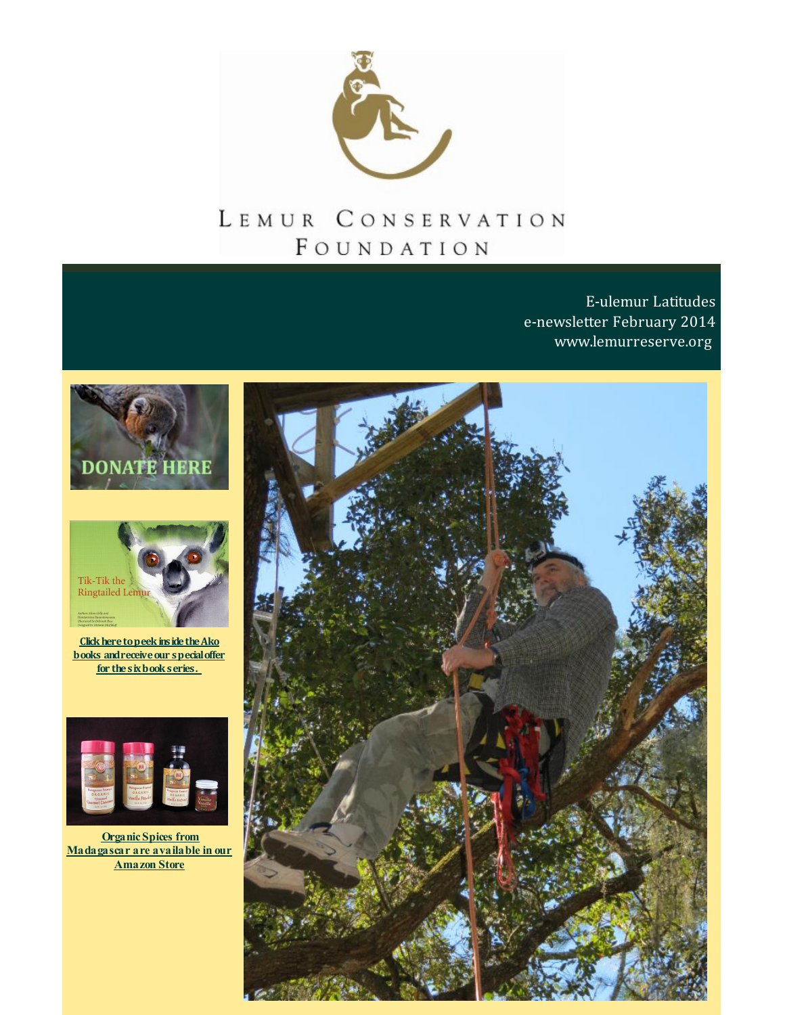

# LEMUR CONSERVATION FOUNDATION

E-ulemur Latitudes e-newsletter February 2014 [www.lemurreserve.org](http://www.lemurreserve.org)





**Click here to peek inside the Ako books andreceiveour specialoffer for thesixbookseries.**



**Organic Spices from [Madagascar](http://r20.rs6.net/tn.jsp?f=001KqAbYzett3_N8CgyBysOsUxstwhEjMMSHMnLBR7HXbRR31mFI67J-TL2AqRqsSJkDofjpfBvNxt_yshYOCJlOelDfcu_Yk5MQMhMEPYdVq2rsShNE7Xn2cbtpdx4OmxLahMlRKNcYPlE-yg4AYwaazVfllwErootmd7H4JD4EHlFKS5Af6HYd1CzjTB0MydN&c=&ch=) are available in our Amazon Store**

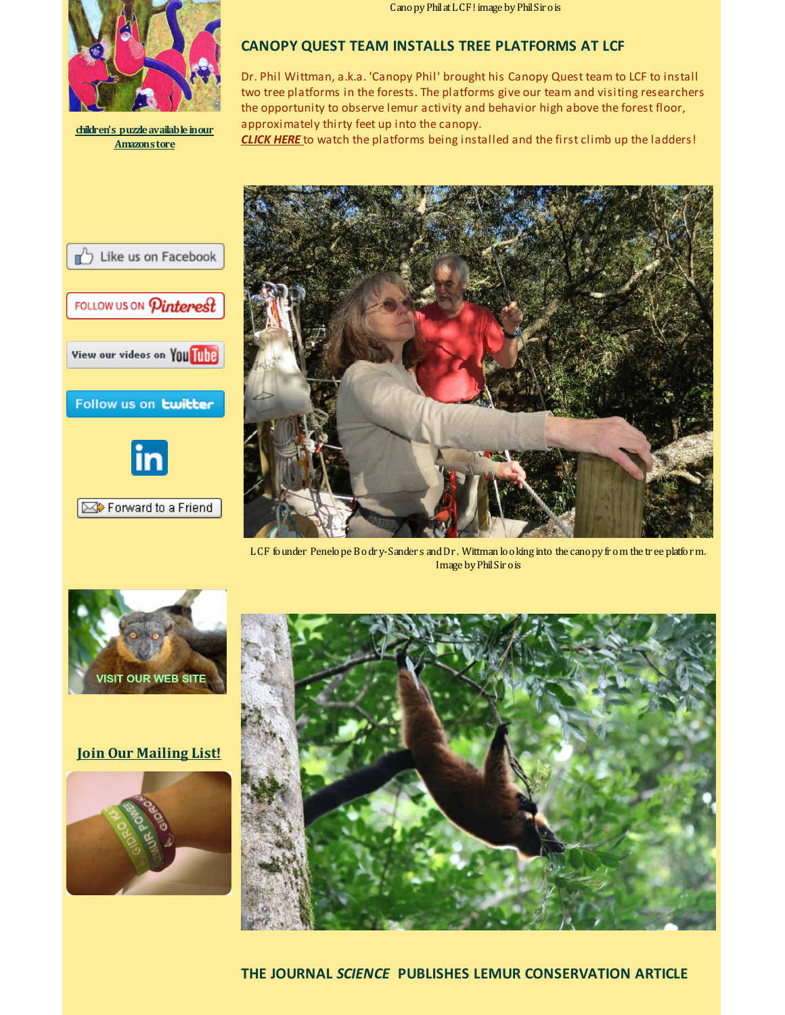

**children's [puzzleavailableinour](http://r20.rs6.net/tn.jsp?f=001KqAbYzett3_N8CgyBysOsUxstwhEjMMSHMnLBR7HXbRR31mFI67J-TL2AqRqsSJkDofjpfBvNxt_yshYOCJlOelDfcu_Yk5MQMhMEPYdVq2rsShNE7Xn2cbtpdx4OmxLahMlRKNcYPlE-yg4AYwaazVfllwErootmd7H4JD4EHlFKS5Af6HYd1CzjTB0MydN&c=&ch=) Amazonstore**

CanopyPhilatLCF! image byPhilSir ois

## **CANOPY QUEST TEAM INSTALLS TREE PLATFORMS AT LCF**

Dr. Phil Wittman, a.k.a. 'Canopy Phil' brought his Canopy Quest team to LCF to install two tree platforms in the forests. The platforms give our team and visiting researchers the opportunity to observe lemur activity and behavior high above the forest floor, approximately thirty feet up into the canopy.

*[CLICK](http://r20.rs6.net/tn.jsp?f=001KqAbYzett3_N8CgyBysOsUxstwhEjMMSHMnLBR7HXbRR31mFI67J-bYETO1uSMueUYlFAfDdGN_Fst9kezZzolvTAKfxsASw3j-VTKG0MrgWlZC76Ktvq65eX6KXqtAbY79IZrKM0bmynJ3IYw24LHL16wBwl9qBW-lkp5cYaDtdb0UCS4dKgA==&c=&ch=) HERE* to watch the platforms being installed and the first climb up the ladders!



LCF founder Penelope Bodr y-Sander s andDr . Wittman looking into the canopy fr om the tr ee platform. Image by Phil Sir o is







### **Join Our [Mailing](http://visitor.r20.constantcontact.com/email.jsp?m=1110407556333) List!**





**THE JOURNAL** *SCIENCE* **PUBLISHES LEMUR CONSERVATION ARTICLE**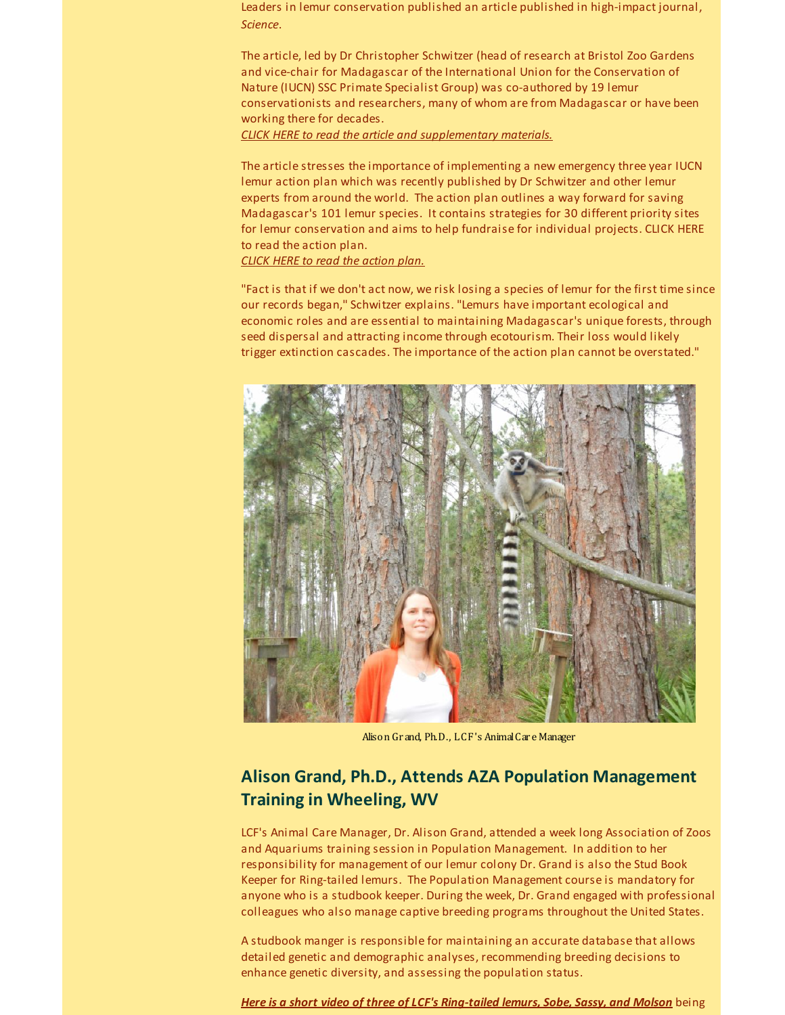Leaders in lemur conservation published an article published in high-impact journal, *Science*.

The article, led by Dr Christopher Schwitzer (head of research at Bristol Zoo Gardens and vice-chair for Madagascar of the International Union for the Conservation of Nature (IUCN) SSC Primate Specialist Group) was co-authored by 19 lemur conservationists and researchers, many of whom are from Madagascar or have been working there for decades.

*CLICK HERE to read the article and [supplementary](http://r20.rs6.net/tn.jsp?f=001KqAbYzett3_N8CgyBysOsUxstwhEjMMSHMnLBR7HXbRR31mFI67J-bYETO1uSMueI78psSZzjFrQburBya_nkooJoLwuy93D3zy6ffPManI4jeZZT0-J0k5U3Yy_r_pOSY0dG4ocd8qesKJ62Z9lq5Szy3HHC-lm-1tuVJRtcNqBtzBfRAZKzSSTQw5_ONiN5m0hrLXXIuh8dzgg5wsGCHXIZg5SCnp_UQgdcRrc1jIx4ln4t-KcuT-xoQi62TfT0He-yF4zMJM=&c=&ch=) materials.*

The article stresses the importance of implementing a new emergency three year IUCN lemur action plan which was recently published by Dr Schwitzer and other lemur experts from around the world. The action plan outlines a way forward for saving Madagascar's 101 lemur species. It contains strategies for 30 different priority sites for lemur conservation and aims to help fundraise for individual projects. CLICK HERE to read the action plan.

#### *CLICK HERE to read the [action](http://r20.rs6.net/tn.jsp?f=001KqAbYzett3_N8CgyBysOsUxstwhEjMMSHMnLBR7HXbRR31mFI67J-bYETO1uSMuexZfPAgpQqR8v2h-4jjKwfn4i3UaJBnULBn3y7QFK8Tk-d-NRtHoHqQTdy3EaiMs8jsGkwnP31Ox4mAAhwWMHCUnohQZ_3nxug5RTvmDk_I2MC0TDMYMpZqBKqK5rXViS&c=&ch=) plan.*

"Fact is that if we don't act now, we risk losing a species of lemur for the first time since our records began," Schwitzer explains. "Lemurs have important ecological and economic roles and are essential to maintaining Madagascar's unique forests, through seed dispersal and attracting income through ecotourism. Their loss would likely trigger extinction cascades. The importance of the action plan cannot be overstated."



Alison Gr and, Ph.D., LCF's AnimalCar e Manager

# **Alison Grand, Ph.D., Attends AZA Population Management Training in Wheeling, WV**

LCF's Animal Care Manager, Dr. Alison Grand, attended a week long Association of Zoos and Aquariums training session in Population Management. In addition to her responsibility for management of our lemur colony Dr. Grand is also the Stud Book Keeper for Ring-tailed lemurs. The Population Management course is mandatory for anyone who is a studbook keeper. During the week, Dr. Grand engaged with professional colleagues who also manage captive breeding programs throughout the United States.

A studbook manger is responsible for maintaining an accurate database that allows detailed genetic and demographic analyses, recommending breeding decisions to enhance genetic diversity, and assessing the population status.

*Here is a short video of three of LCF's [Ring-tailed](http://r20.rs6.net/tn.jsp?f=001KqAbYzett3_N8CgyBysOsUxstwhEjMMSHMnLBR7HXbRR31mFI67J-QDf60kLxELlZkhZJlK7XheJeqXh9pvakKA22OF-7XqLiN6iFgrMMvy-XAohI0zclpzErHMJ1_qkUn1FcsUrLQ1UyLNgR9qLlFqXXD4W7g9UOK4TBZWeyUwa1zvL1cwG2w==&c=&ch=) lemurs, Sobe, Sassy, and Molson* being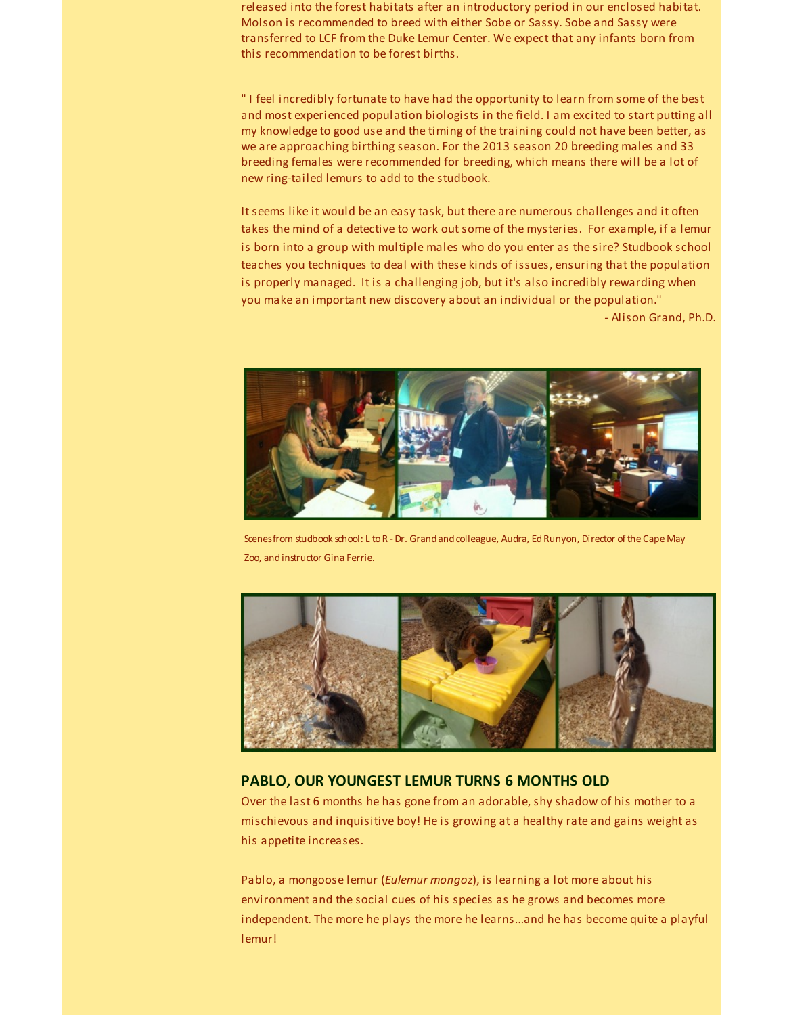released into the forest habitats after an introductory period in our enclosed habitat. Molson is recommended to breed with either Sobe or Sassy. Sobe and Sassy were transferred to LCF from the Duke Lemur Center. We expect that any infants born from this recommendation to be forest births.

" I feel incredibly fortunate to have had the opportunity to learn from some of the best and most experienced population biologists in the field. I am excited to start putting all my knowledge to good use and the timing of the training could not have been better, as we are approaching birthing season. For the 2013 season 20 breeding males and 33 breeding females were recommended for breeding, which means there will be a lot of new ring-tailed lemurs to add to the studbook.

It seems like it would be an easy task, but there are numerous challenges and it often takes the mind of a detective to work out some of the mysteries. For example, if a lemur is born into a group with multiple males who do you enter as the sire? Studbook school teaches you techniques to deal with these kinds of issues, ensuring that the population is properly managed. It is a challenging job, but it's also incredibly rewarding when you make an important new discovery about an individual or the population."

- Alison Grand, Ph.D.



Scenes from studbook school: L to R - Dr. Grand and colleague, Audra, Ed Runyon, Director of the Cape May Zoo, andinstructor Gina Ferrie.



#### **PABLO, OUR YOUNGEST LEMUR TURNS 6 MONTHS OLD**

Over the last 6 months he has gone from an adorable, shy shadow of his mother to a mischievous and inquisitive boy! He is growing at a healthy rate and gains weight as his appetite increases.

Pablo, a mongoose lemur (*Eulemur mongoz*), is learning a lot more about his environment and the social cues of his species as he grows and becomes more independent. The more he plays the more he learns...and he has become quite a playful lemur!